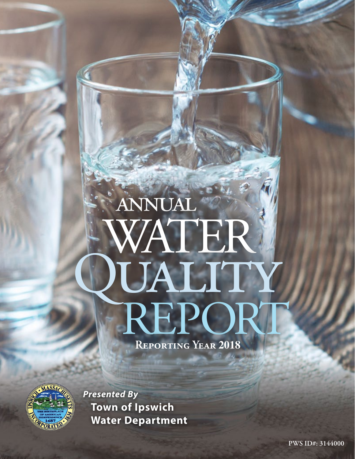# annual WATER **PUALITY**<br>REPOR **Reporting Year 2018**



*Presented By* **Town of Ipswich Water Department**

**PWS ID#: 3144000**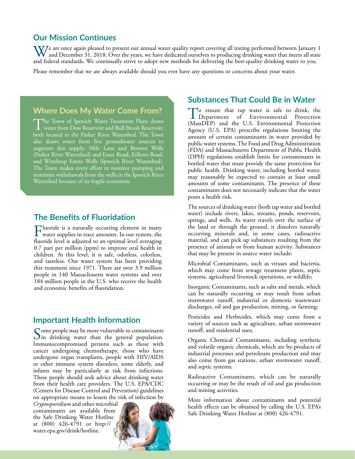## **Our Mission Continues**

 $\bf W$ 7e are once again pleased to present our annual water quality report covering all testing performed between January 1 and December 31, 2018. Over the years, we have dedicated ourselves to producing drinking water that meets all state and federal standards. We continually strive to adopt new methods for delivering the best-quality drinking water to you.

Please remember that we are always available should you ever have any questions or concerns about your water.

## **Where Does My Water Come From?**

The Town of Ipswich Water Treatment Plant draws water from Dow Reservoir and Bull Brook Reservoir, both located in the Parker River Watershed. The Town also draws water from five groundwater sources to augment this supply: Mile Lane and Browns Wells (Parker River Watershed) and Essex Road, Fellows Road, and Winthrop Estate Wells (Ipswich River Watershed). The Town makes every effort to monitor pumping and minimize withdrawals from the wells in the Ipswich River Watershed because of its fragile ecosystem.

# **The Benefits of Fluoridation**

Fluoride is a naturally occurring element in many<br>water supplies in trace amounts. In our system, the<br>fluoridate of interval to an optimal land manufacture fluoride level is adjusted to an optimal level averaging 0.7 part per million (ppm) to improve oral health in children. At this level, it is safe, odorless, colorless, and tasteless. Our water system has been providing this treatment since 1971. There are over 3.9 million people in 140 Massachusetts water systems and over 184 million people in the U.S. who receive the health and economic benefits of fluoridation.

## **Important Health Information**

Some people may be more vulnerable to contaminants<br>In drinking water than the general population. Immunocompromised persons such as those with cancer undergoing chemotherapy, those who have undergone organ transplants, people with HIV/AIDS or other immune system disorders, some elderly, and infants may be particularly at risk from infections. These people should seek advice about drinking water from their health care providers. The U.S. EPA/CDC (Centers for Disease Control and Prevention) guidelines on appropriate means to lessen the risk of infection by

*Cryptosporidium* and other microbial contaminants are available from the Safe Drinking Water Hotline at (800) 426-4791 or [http://](http://water.epa.gov/drink/hotline) [water.epa.gov/drink/hotline](http://water.epa.gov/drink/hotline).



#### **Substances That Could Be in Water**

To ensure that tap water is safe to drink, the Department of Environmental Protection (MassDEP) and the U.S. Environmental Protection Agency (U.S. EPA) prescribe regulations limiting the amount of certain contaminants in water provided by public water systems. The Food and Drug Administration (FDA) and Massachusetts Department of Public Health (DPH) regulations establish limits for contaminants in bottled water that must provide the same protection for public health. Drinking water, including bottled water, may reasonably be expected to contain at least small amounts of some contaminants. The presence of these contaminants does not necessarily indicate that the water poses a health risk.

The sources of drinking water (both tap water and bottled water) include rivers, lakes, streams, ponds, reservoirs, springs, and wells. As water travels over the surface of the land or through the ground, it dissolves naturally occurring minerals and, in some cases, radioactive material, and can pick up substances resulting from the presence of animals or from human activity. Substances that may be present in source water include:

Microbial Contaminants, such as viruses and bacteria, which may come from sewage treatment plants, septic systems, agricultural livestock operations, or wildlife;

Inorganic Contaminants, such as salts and metals, which can be naturally occurring or may result from urban stormwater runoff, industrial or domestic wastewater discharges, oil and gas production, mining, or farming;

Pesticides and Herbicides, which may come from a variety of sources such as agriculture, urban stormwater runoff, and residential uses;

Organic Chemical Contaminants, including synthetic and volatile organic chemicals, which are by-products of industrial processes and petroleum production and may also come from gas stations, urban stormwater runoff, and septic systems;

Radioactive Contaminants, which can be naturally occurring or may be the result of oil and gas production and mining activities.

More information about contaminants and potential health effects can be obtained by calling the U.S. EPA's Safe Drinking Water Hotline at (800) 426-4791.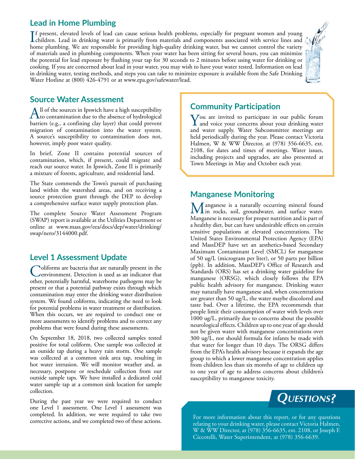# **Lead in Home Plumbing**

If present, elevated levels of lead can cause serious health problems, especially for pregnant women and young<br>children. Lead in drinking water is primarily from materials and components associated with service lines and<br>h children. Lead in drinking water is primarily from materials and components associated with service lines and home plumbing. We are responsible for providing high-quality drinking water, but we cannot control the variety of materials used in plumbing components. When your water has been sitting for several hours, you can minimize the potential for lead exposure by flushing your tap for 30 seconds to 2 minutes before using water for drinking or cooking. If you are concerned about lead in your water, you may wish to have your water tested. Information on lead in drinking water, testing methods, and steps you can take to minimize exposure is available from the Safe Drinking Water Hotline at (800) 426-4791 or at [www.epa.gov/safewater/lead](http://www.epa.gov/safewater/lead).



# **Source Water Assessment**

All of the sources in Ipswich have a high susceptibility<br>to contamination due to the absence of hydrological<br>hardcome (a g a gangleing also large) that sould ganger barriers (e.g., a confining clay layer) that could prevent migration of contamination into the water system. A source's susceptibility to contamination does not, however, imply poor water quality.

In brief, Zone II contains potential sources of contamination, which, if present, could migrate and reach our source water. In Ipswich, Zone II is primarily a mixture of forests, agriculture, and residential land.

The State commends the Town's pursuit of purchasing land within the watershed areas, and on receiving a source protection grant through the DEP to develop a comprehensive surface water supply protection plan.

The complete Source Water Assessment Program (SWAP) report is available at the Utilities Department or online at [www.mass.gov/eea/docs/dep/water/drinking/](http://www.mass.gov/eea/docs/dep/water/drinking/swap/nero/3144000.pdf) [swap/nero/3144000.pdf.](http://www.mass.gov/eea/docs/dep/water/drinking/swap/nero/3144000.pdf)

# **Level 1 Assessment Update**

Coliforms are bacteria that are naturally present in the environment. Detection is used as an indicator that other, potentially harmful, waterborne pathogens may be present or that a potential pathway exists through which contamination may enter the drinking water distribution system. We found coliforms, indicating the need to look for potential problems in water treatment or distribution. When this occurs, we are required to conduct one or more assessments to identify problems and to correct any problems that were found during these assessments.

On September 18, 2018, two collected samples tested positive for total coliform. One sample was collected at an outside tap during a heavy rain storm. One sample was collected at a common sink area tap, resulting in hot water intrusion. We will monitor weather and, as necessary, postpone or reschedule collection from our outside sample taps. We have installed a dedicated cold water sample tap at a common sink location for sample collection.

During the past year we were required to conduct one Level 1 assessment. One Level 1 assessment was completed. In addition, we were required to take two

# **Community Participation**

You are invited to participate in our public forum and voice your concerns about your drinking water and water supply. Water Subcommittee meetings are held periodically during the year. Please contact Victoria Halmen, W & WW Director, at (978) 356-6635, ext. 2108, for dates and times of meetings. Water issues, including projects and upgrades, are also presented at Town Meetings in May and October each year.

## **Manganese Monitoring**

Manganese is a naturally occurring mineral found<br>Management is a proposed a groundwater, and surface water. Manganese is necessary for proper nutrition and is part of a healthy diet, but can have undesirable effects on certain sensitive populations at elevated concentrations. The United States Environmental Protection Agency (EPA) and MassDEP have set an aesthetics-based Secondary Maximum Contaminant Level (SMCL) for manganese of 50 ug/L (microgram per liter), or 50 parts per billion (ppb). In addition, MassDEP's Office of Research and Standards (ORS) has set a drinking water guideline for manganese (ORSG), which closely follows the EPA public health advisory for manganese. Drinking water may naturally have manganese and, when concentrations are greater than 50 ug/L, the water maybe discolored and taste bad. Over a lifetime, the EPA recommends that people limit their consumption of water with levels over 1000 ug/L, primarily due to concerns about the possible neurological effects. Children up to one year of age should not be given water with manganese concentrations over 300 ug/L, nor should formula for infants be made with that water for longer than 10 days. The ORSG differs from the EPA's health advisory because it expands the age group to which a lower manganese concentration applies from children less than six months of age to children up to one year of age to address concerns about children's susceptibility to manganese toxicity.



completed. In addition, we were required to take two<br>corrective actions, and we completed two of these actions. relating to your drinking water, please contact Victoria Halmen, W & WW Director, at (978) 356-6635, ext. 2108, or Joseph F. Ciccotelli, Water Superintendent, at (978) 356-6639.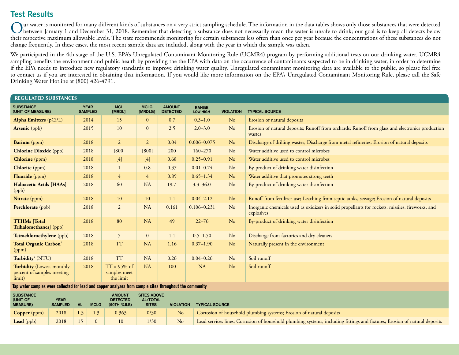# **Test Results**

Our water is monitored for many different kinds of substances on a very strict sampling schedule. The information in the data tables shows only those substances that were detected<br>between January 1 and December 31, 2018. R their respective maximum allowable levels. The state recommends monitoring for certain substances less often than once per year because the concentrations of these substances do not change frequently. In these cases, the most recent sample data are included, along with the year in which the sample was taken.

We participated in the 4th stage of the U.S. EPA's Unregulated Contaminant Monitoring Rule (UCMR4) program by performing additional tests on our drinking water. UCMR4 sampling benefits the environment and public health by providing the the EPA with data on the occurrence of contaminants suspected to be in drinking water, in order to determine if the EPA needs to introduce new regulatory standards to improve drinking water quality. Unregulated contaminant monitoring data are available to the public, so please feel free to contact us if you are interested in obtaining that information. If you would like more information on the EPA's Unregulated Contaminant Monitoring Rule, please call the Safe Drinking Water Hotline at (800) 426-4791.

| <b>REGULATED SUBSTANCES</b>                                                                                                                                                                 |                               |                                             |                        |                                  |                          |                  |                                                                                                                |  |
|---------------------------------------------------------------------------------------------------------------------------------------------------------------------------------------------|-------------------------------|---------------------------------------------|------------------------|----------------------------------|--------------------------|------------------|----------------------------------------------------------------------------------------------------------------|--|
| <b>SUBSTANCE</b><br>(UNIT OF MEASURE)                                                                                                                                                       | <b>YEAR</b><br><b>SAMPLED</b> | <b>MCL</b><br>[MRDL]                        | <b>MCLG</b><br>[MRDLG] | <b>AMOUNT</b><br><b>DETECTED</b> | <b>RANGE</b><br>LOW-HIGH | <b>VIOLATION</b> | <b>TYPICAL SOURCE</b>                                                                                          |  |
| Alpha Emitters (pCi/L)                                                                                                                                                                      | 2014                          | 15                                          | $\overline{0}$         | 0.7                              | $0.3 - 1.0$              | N <sub>o</sub>   | Erosion of natural deposits                                                                                    |  |
| Arsenic (ppb)                                                                                                                                                                               | 2015                          | 10                                          | $\mathbf{0}$           | 2.5                              | $2.0 - 3.0$              | N <sub>o</sub>   | Erosion of natural deposits; Runoff from orchards; Runoff from glass and electronics production<br>wastes      |  |
| Barium (ppm)                                                                                                                                                                                | 2018                          | $\overline{2}$                              | $\overline{2}$         | 0.04                             | $0.006 - 0.075$          | N <sub>o</sub>   | Discharge of drilling wastes; Discharge from metal refineries; Erosion of natural deposits                     |  |
| <b>Chlorine Dioxide</b> (ppb)                                                                                                                                                               | 2018                          | $[800]$                                     | [800]                  | 200                              | $160 - 270$              | N <sub>o</sub>   | Water additive used to control microbes                                                                        |  |
| <b>Chlorine</b> (ppm)                                                                                                                                                                       | 2018                          | $[4]$                                       | $[4]$                  | 0.68                             | $0.25 - 0.91$            | N <sub>o</sub>   | Water additive used to control microbes                                                                        |  |
| <b>Chlorite</b> (ppm)                                                                                                                                                                       | 2018                          |                                             | 0.8                    | 0.37                             | $0.01 - 0.74$            | N <sub>o</sub>   | By-product of drinking water disinfection                                                                      |  |
| Fluoride (ppm)                                                                                                                                                                              | 2018                          | 4                                           | $\overline{4}$         | 0.89                             | $0.65 - 1.34$            | N <sub>o</sub>   | Water additive that promotes strong teeth                                                                      |  |
| Haloacetic Acids [HAAs]<br>(ppb)                                                                                                                                                            | 2018                          | 60                                          | <b>NA</b>              | 19.7                             | $3.3 - 36.0$             | N <sub>o</sub>   | By-product of drinking water disinfection                                                                      |  |
| Nitrate (ppm)                                                                                                                                                                               | 2018                          | 10                                          | 10                     | 1.1                              | $0.04 - 2.12$            | $\rm No$         | Runoff from fertilizer use; Leaching from septic tanks, sewage; Erosion of natural deposits                    |  |
| Perchlorate (ppb)                                                                                                                                                                           | 2018                          | $\overline{2}$                              | <b>NA</b>              | 0.161                            | $0.106 - 0.231$          | N <sub>o</sub>   | Inorganic chemicals used as oxidizers in solid propellants for rockets, missiles, fireworks, and<br>explosives |  |
| <b>TTHMs</b> [Total<br>Trihalomethanes] (ppb)                                                                                                                                               | 2018                          | 80                                          | <b>NA</b>              | 49                               | $22 - 76$                | $\rm No$         | By-product of drinking water disinfection                                                                      |  |
| Tetrachloroethylene (ppb)                                                                                                                                                                   | 2018                          | 5                                           | $\mathbf{0}$           | 1.1                              | $0.5 - 1.50$             | N <sub>o</sub>   | Discharge from factories and dry cleaners                                                                      |  |
| Total Organic Carbon <sup>1</sup><br>(ppm)                                                                                                                                                  | 2018                          | <b>TT</b>                                   | <b>NA</b>              | 1.16                             | $0.37 - 1.90$            | N <sub>o</sub>   | Naturally present in the environment                                                                           |  |
| Turbidity <sup>2</sup> (NTU)                                                                                                                                                                | 2018                          | <b>TT</b>                                   | <b>NA</b>              | 0.26                             | $0.04 - 0.26$            | N <sub>o</sub>   | Soil runoff                                                                                                    |  |
| <b>Turbidity</b> (Lowest monthly<br>percent of samples meeting<br>limit)<br>a control region to complete the study of the threat region of the region of the state of the control of the re | 2018                          | $TT = 95\%$ of<br>samples meet<br>the limit | <b>NA</b>              | 100                              | <b>NA</b>                | N <sub>o</sub>   | Soil runoff                                                                                                    |  |

**Tap water samples were collected for lead and copper analyses from sample sites throughout the community**

| <b>SUBSTANCE</b><br>(UNIT OF<br><b>MEASURE</b> ) | <b>YEAR</b><br><b>SAMPLED</b> | <b>AL</b>   | <b>MCLG</b> | <b>AMOUNT</b><br><b>DETECTED</b><br>(90TH %ILE) | <b>SITES ABOVE</b><br><b>AL/TOTAL</b><br><b>SITES</b> | <b>VIOLATION</b> | <b>TYPICAL SOURCE</b>                                                                                                      |
|--------------------------------------------------|-------------------------------|-------------|-------------|-------------------------------------------------|-------------------------------------------------------|------------------|----------------------------------------------------------------------------------------------------------------------------|
| <b>Copper</b> (ppm)                              | 2018                          | $1.3 \perp$ |             | 0.363                                           | 0/30                                                  | N <sub>o</sub>   | Corrosion of household plumbing systems; Erosion of natural deposits                                                       |
| Lead (ppb)                                       | 2018                          |             | $\Omega$    |                                                 | 1/30                                                  | No               | Lead services lines; Corrosion of household plumbing systems, including fittings and fixtures; Erosion of natural deposits |